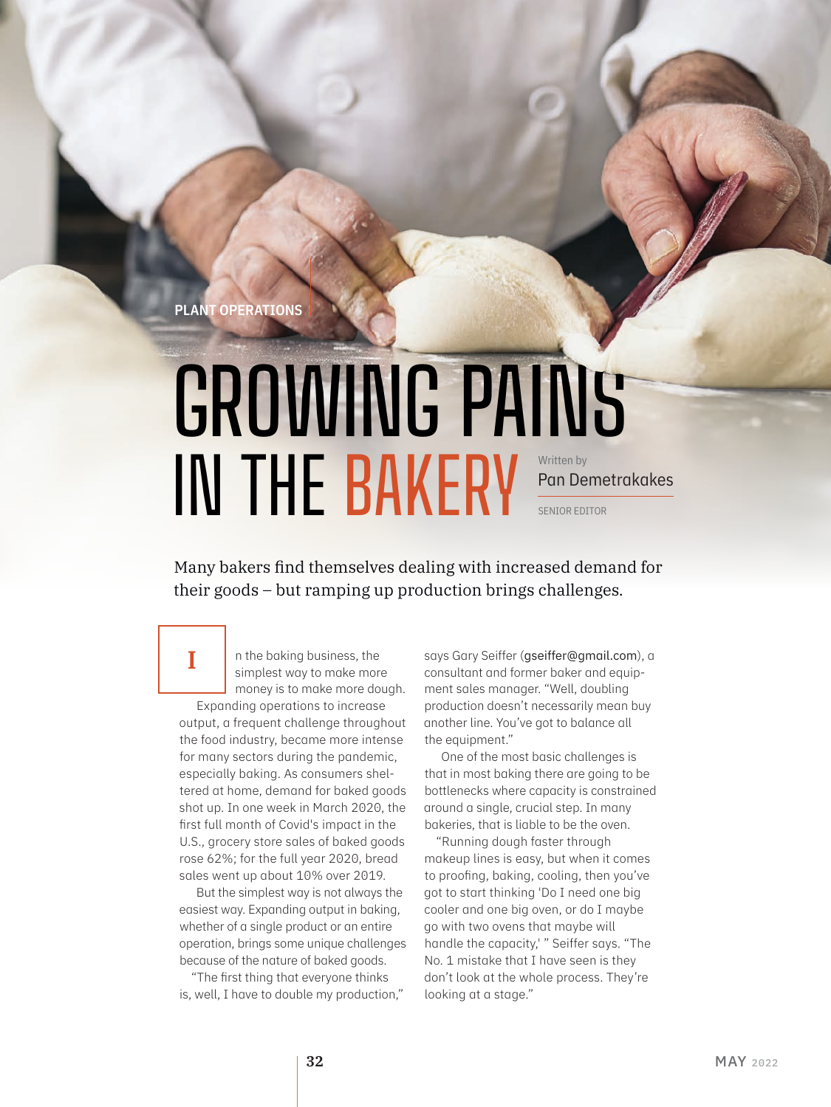Plant Operations

I

# GROWING PAINS IN THE BAKERY Written by Pan Demetrakakes SENIOR EDITOR

Many bakers find themselves dealing with increased demand for their goods – but ramping up production brings challenges.

> n the baking business, the simplest way to make more money is to make more dough.

Expanding operations to increase output, a frequent challenge throughout the food industry, became more intense for many sectors during the pandemic, especially baking. As consumers sheltered at home, demand for baked goods shot up. In one week in March 2020, the first full month of Covid's impact in the U.S., grocery store sales of baked goods rose 62%; for the full year 2020, bread sales went up about 10% over 2019.

But the simplest way is not always the easiest way. Expanding output in baking, whether of a single product or an entire operation, brings some unique challenges because of the nature of baked goods.

"The first thing that everyone thinks is, well, I have to double my production," says Gary Seiffer (gseiffer@gmail.com), a consultant and former baker and equipment sales manager. "Well, doubling production doesn't necessarily mean buy another line. You've got to balance all the equipment."

One of the most basic challenges is that in most baking there are going to be bottlenecks where capacity is constrained around a single, crucial step. In many bakeries, that is liable to be the oven.

"Running dough faster through makeup lines is easy, but when it comes to proofing, baking, cooling, then you've got to start thinking 'Do I need one big cooler and one big oven, or do I maybe go with two ovens that maybe will handle the capacity,' " Seiffer says. "The No. 1 mistake that I have seen is they don't look at the whole process. They're looking at a stage."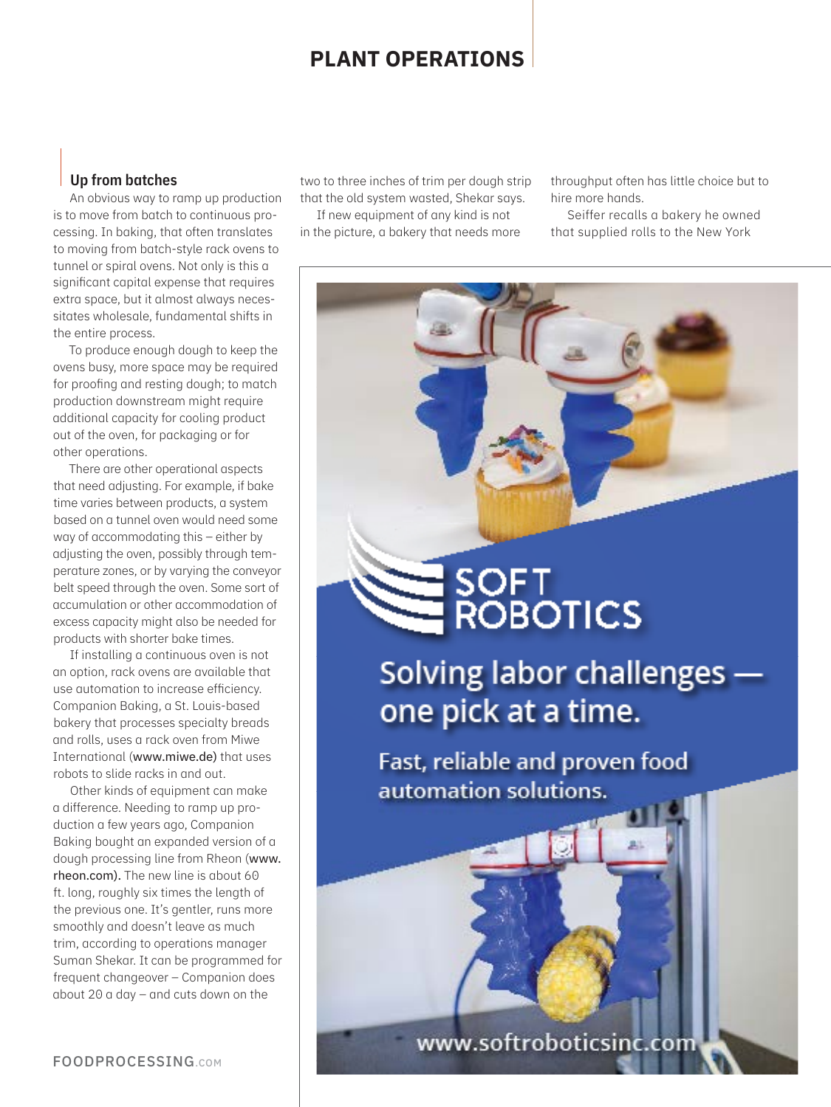## **Plant Operations**

#### Up from batches

An obvious way to ramp up production is to move from batch to continuous processing. In baking, that often translates to moving from batch-style rack ovens to tunnel or spiral ovens. Not only is this a significant capital expense that requires extra space, but it almost always necessitates wholesale, fundamental shifts in the entire process.

To produce enough dough to keep the ovens busy, more space may be required for proofing and resting dough; to match production downstream might require additional capacity for cooling product out of the oven, for packaging or for other operations.

There are other operational aspects that need adjusting. For example, if bake time varies between products, a system based on a tunnel oven would need some way of accommodating this – either by adjusting the oven, possibly through temperature zones, or by varying the conveyor belt speed through the oven. Some sort of accumulation or other accommodation of excess capacity might also be needed for products with shorter bake times.

If installing a continuous oven is not an option, rack ovens are available that use automation to increase efficiency. Companion Baking, a St. Louis-based bakery that processes specialty breads and rolls, uses a rack oven from Miwe International (www.miwe.de) that uses robots to slide racks in and out.

Other kinds of equipment can make a difference. Needing to ramp up production a few years ago, Companion Baking bought an expanded version of a dough processing line from Rheon (www. rheon.com). The new line is about 60 ft. long, roughly six times the length of the previous one. It's gentler, runs more smoothly and doesn't leave as much trim, according to operations manager Suman Shekar. It can be programmed for frequent changeover – Companion does about 20 a day – and cuts down on the

two to three inches of trim per dough strip that the old system wasted, Shekar says.

If new equipment of any kind is not in the picture, a bakery that needs more throughput often has little choice but to hire more hands.

Seiffer recalls a bakery he owned that supplied rolls to the New York

# SOFT<br>ROBOTICS

Solving labor challenges one pick at a time.

Fast, reliable and proven food automation solutions.

www.softroboticsinc.com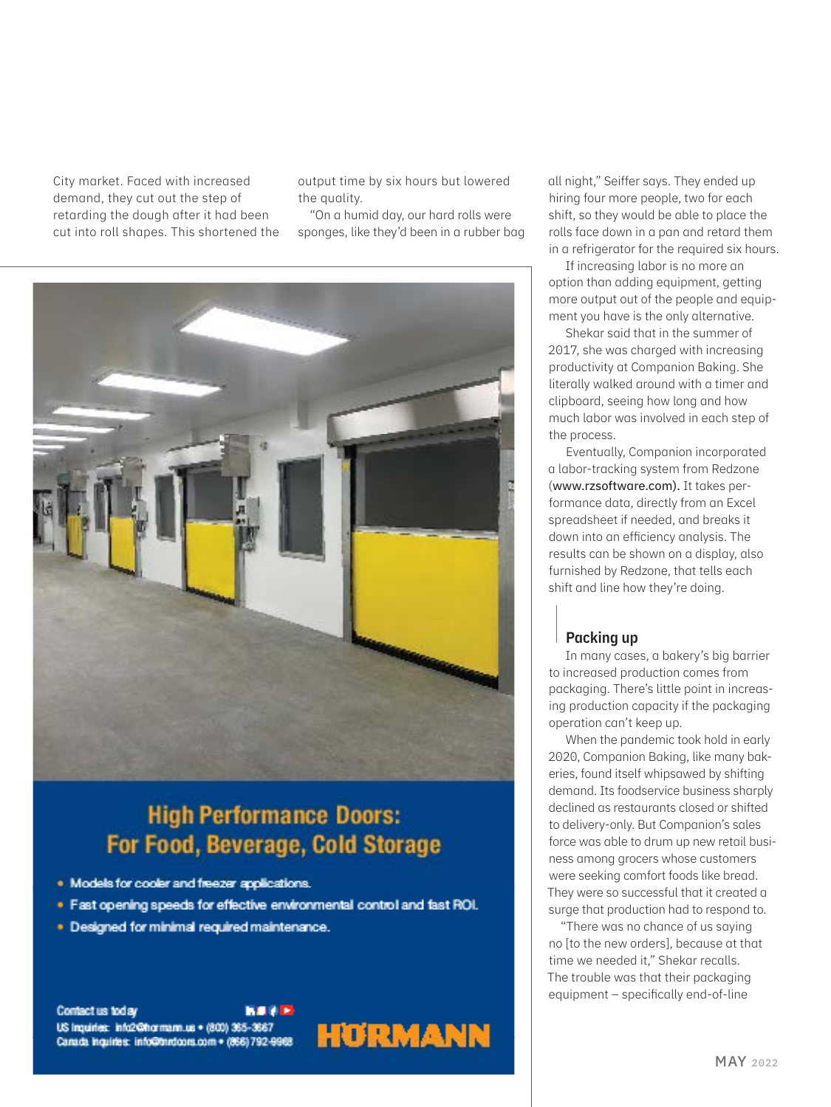City market. Faced with increased demand, they cut out the step of retarding the dough after it had been cut into roll shapes. This shortened the output time by six hours but lowered the quality.

"On a humid day, our hard rolls were sponges, like they'd been in a rubber bag



## **High Performance Doors:** For Food, Beverage, Cold Storage

- . Models for cooler and freezer applications.
- . Fast opening speeds for effective environmental control and fast ROI.
- · Designed for minimal required maintenance.

Contact us today **NO AP** US Inquiries: info2@hormam.us + (800) 365-3667 Canada Inquiries: info@thrdoors.com + (866) 792-9968



all night," Seiffer says. They ended up hiring four more people, two for each shift, so they would be able to place the rolls face down in a pan and retard them in a refrigerator for the required six hours.

If increasing labor is no more an option than adding equipment, getting more output out of the people and equipment you have is the only alternative.

Shekar said that in the summer of 2017, she was charged with increasing productivity at Companion Baking. She literally walked around with a timer and clipboard, seeing how long and how much labor was involved in each step of the process.

Eventually, Companion incorporated a labor-tracking system from Redzone (www.rzsoftware.com). It takes performance data, directly from an Excel spreadsheet if needed, and breaks it down into an efficiency analysis. The results can be shown on a display, also furnished by Redzone, that tells each shift and line how they're doing.

#### Packing up

In many cases, a bakery's big barrier to increased production comes from packaging. There's little point in increasing production capacity if the packaging operation can't keep up.

When the pandemic took hold in early 2020, Companion Baking, like many bakeries, found itself whipsawed by shifting demand. Its foodservice business sharply declined as restaurants closed or shifted to delivery-only. But Companion's sales force was able to drum up new retail business among grocers whose customers were seeking comfort foods like bread. They were so successful that it created a surge that production had to respond to.

"There was no chance of us saying no [to the new orders], because at that time we needed it," Shekar recalls. The trouble was that their packaging equipment – specifically end-of-line